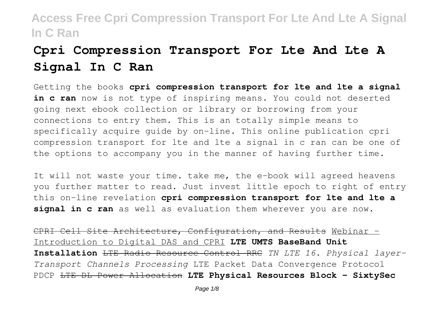# **Cpri Compression Transport For Lte And Lte A Signal In C Ran**

Getting the books **cpri compression transport for lte and lte a signal in c ran** now is not type of inspiring means. You could not deserted going next ebook collection or library or borrowing from your connections to entry them. This is an totally simple means to specifically acquire guide by on-line. This online publication cpri compression transport for lte and lte a signal in c ran can be one of the options to accompany you in the manner of having further time.

It will not waste your time. take me, the e-book will agreed heavens you further matter to read. Just invest little epoch to right of entry this on-line revelation **cpri compression transport for lte and lte a signal in c ran** as well as evaluation them wherever you are now.

CPRI Cell Site Architecture, Configuration, and Results Webinar - Introduction to Digital DAS and CPRI **LTE UMTS BaseBand Unit Installation** LTE Radio Resource Control RRC *TN LTE 16. Physical layer-Transport Channels Processing* LTE Packet Data Convergence Protocol PDCP LTE DL Power Allocation **LTE Physical Resources Block - SixtySec**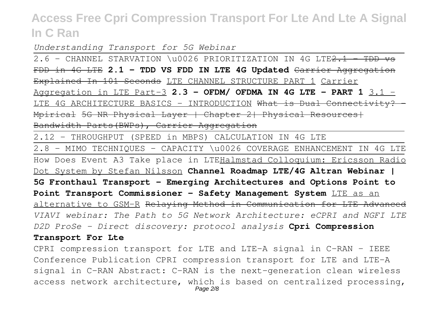*Understanding Transport for 5G Webinar*

2.6 - CHANNEL STARVATION \u0026 PRIORITIZATION IN 4G LTE<del>2.1 - TDD vs</del> FDD in 4G LTE **2.1 - TDD VS FDD IN LTE 4G Updated** Carrier Aggregation Explained In 101 Seconds LTE CHANNEL STRUCTURE PART 1 Carrier Aggregation in LTE Part-3 **2.3 - OFDM/ OFDMA IN 4G LTE - PART 1** 3.1 - LTE 4G ARCHITECTURE BASICS - INTRODUCTION What is Dual Connectivity? -Mpirical 5G NR Physical Layer | Chapter 2| Physical Resources| Bandwidth Parts(BWPs), Carrier Aggregation

2.12 - THROUGHPUT (SPEED in MBPS) CALCULATION IN 4G LTE

2.8 - MIMO TECHNIQUES - CAPACITY \u0026 COVERAGE ENHANCEMENT IN 4G LTE How Does Event A3 Take place in LTEHalmstad Colloquium: Ericsson Radio Dot System by Stefan Nilsson **Channel Roadmap LTE/4G Altran Webinar | 5G Fronthaul Transport – Emerging Architectures and Options Point to Point Transport Commissioner - Safety Management System** LTE as an alternative to GSM-R Relaying Method in Communication for LTE Advanced *VIAVI webinar: The Path to 5G Network Architecture: eCPRI and NGFI LTE D2D ProSe - Direct discovery: protocol analysis* **Cpri Compression**

#### **Transport For Lte**

CPRI compression transport for LTE and LTE-A signal in C-RAN - IEEE Conference Publication CPRI compression transport for LTE and LTE-A signal in C-RAN Abstract: C-RAN is the next-generation clean wireless access network architecture, which is based on centralized processing,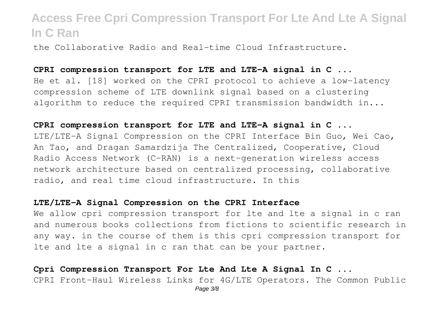the Collaborative Radio and Real-time Cloud Infrastructure.

#### **CPRI compression transport for LTE and LTE-A signal in C ...**

He et al. [18] worked on the CPRI protocol to achieve a low-latency compression scheme of LTE downlink signal based on a clustering algorithm to reduce the required CPRI transmission bandwidth in...

#### **CPRI compression transport for LTE and LTE-A signal in C ...**

LTE/LTE-A Signal Compression on the CPRI Interface Bin Guo, Wei Cao, An Tao, and Dragan Samardzija The Centralized, Cooperative, Cloud Radio Access Network (C-RAN) is a next-generation wireless access network architecture based on centralized processing, collaborative radio, and real time cloud infrastructure. In this

#### **LTE/LTE-A Signal Compression on the CPRI Interface**

We allow cpri compression transport for lte and lte a signal in c ran and numerous books collections from fictions to scientific research in any way. in the course of them is this cpri compression transport for lte and lte a signal in c ran that can be your partner.

### **Cpri Compression Transport For Lte And Lte A Signal In C ...**

CPRI Front-Haul Wireless Links for 4G/LTE Operators. The Common Public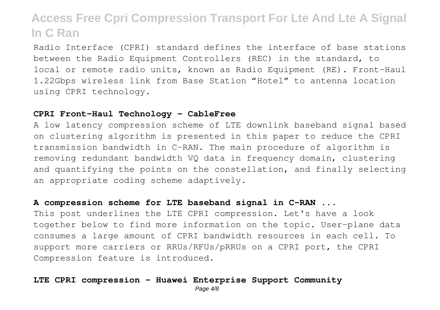Radio Interface (CPRI) standard defines the interface of base stations between the Radio Equipment Controllers (REC) in the standard, to local or remote radio units, known as Radio Equipment (RE). Front-Haul 1.22Gbps wireless link from Base Station "Hotel" to antenna location using CPRI technology.

#### **CPRI Front-Haul Technology - CableFree**

A low latency compression scheme of LTE downlink baseband signal based on clustering algorithm is presented in this paper to reduce the CPRI transmission bandwidth in C-RAN. The main procedure of algorithm is removing redundant bandwidth VQ data in frequency domain, clustering and quantifying the points on the constellation, and finally selecting an appropriate coding scheme adaptively.

#### **A compression scheme for LTE baseband signal in C-RAN ...**

This post underlines the LTE CPRI compression. Let's have a look together below to find more information on the topic. User-plane data consumes a large amount of CPRI bandwidth resources in each cell. To support more carriers or RRUs/RFUs/pRRUs on a CPRI port, the CPRI Compression feature is introduced.

### **LTE CPRI compression - Huawei Enterprise Support Community**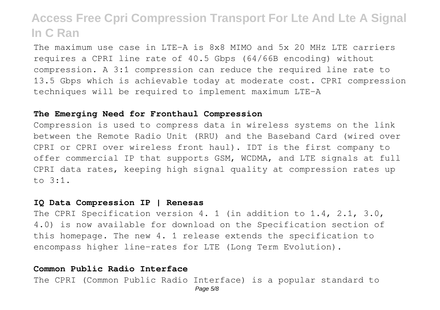The maximum use case in LTE-A is 8x8 MIMO and 5x 20 MHz LTE carriers requires a CPRI line rate of 40.5 Gbps (64/66B encoding) without compression. A 3:1 compression can reduce the required line rate to 13.5 Gbps which is achievable today at moderate cost. CPRI compression techniques will be required to implement maximum LTE-A

#### **The Emerging Need for Fronthaul Compression**

Compression is used to compress data in wireless systems on the link between the Remote Radio Unit (RRU) and the Baseband Card (wired over CPRI or CPRI over wireless front haul). IDT is the first company to offer commercial IP that supports GSM, WCDMA, and LTE signals at full CPRI data rates, keeping high signal quality at compression rates up to 3:1.

#### **IQ Data Compression IP | Renesas**

The CPRI Specification version 4. 1 (in addition to 1.4, 2.1, 3.0, 4.0) is now available for download on the Specification section of this homepage. The new 4. 1 release extends the specification to encompass higher line-rates for LTE (Long Term Evolution).

#### **Common Public Radio Interface**

The CPRI (Common Public Radio Interface) is a popular standard to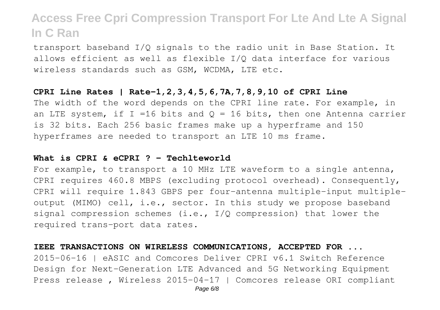transport baseband I/Q signals to the radio unit in Base Station. It allows efficient as well as flexible I/Q data interface for various wireless standards such as GSM, WCDMA, LTE etc.

#### **CPRI Line Rates | Rate-1,2,3,4,5,6,7A,7,8,9,10 of CPRI Line**

The width of the word depends on the CPRI line rate. For example, in an LTE system, if I =16 bits and  $Q = 16$  bits, then one Antenna carrier is 32 bits. Each 256 basic frames make up a hyperframe and 150 hyperframes are needed to transport an LTE 10 ms frame.

#### **What is CPRI & eCPRI ? - Techlteworld**

For example, to transport a 10 MHz LTE waveform to a single antenna, CPRI requires 460.8 MBPS (excluding protocol overhead). Consequently, CPRI will require 1.843 GBPS per four-antenna multiple-input multipleoutput (MIMO) cell, i.e., sector. In this study we propose baseband signal compression schemes (i.e.,  $I/Q$  compression) that lower the required trans-port data rates.

#### **IEEE TRANSACTIONS ON WIRELESS COMMUNICATIONS, ACCEPTED FOR ...**

2015-06-16 | eASIC and Comcores Deliver CPRI v6.1 Switch Reference Design for Next-Generation LTE Advanced and 5G Networking Equipment Press release , Wireless 2015-04-17 | Comcores release ORI compliant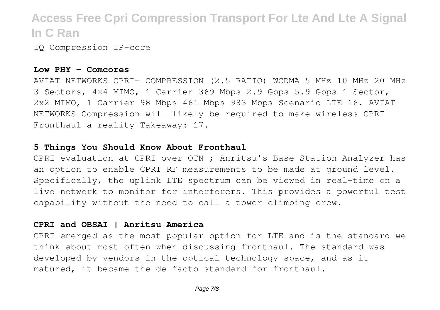IQ Compression IP-core

#### **Low PHY - Comcores**

AVIAT NETWORKS CPRI- COMPRESSION (2.5 RATIO) WCDMA 5 MHz 10 MHz 20 MHz 3 Sectors, 4x4 MIMO, 1 Carrier 369 Mbps 2.9 Gbps 5.9 Gbps 1 Sector, 2x2 MIMO, 1 Carrier 98 Mbps 461 Mbps 983 Mbps Scenario LTE 16. AVIAT NETWORKS Compression will likely be required to make wireless CPRI Fronthaul a reality Takeaway: 17.

### **5 Things You Should Know About Fronthaul**

CPRI evaluation at CPRI over OTN ; Anritsu's Base Station Analyzer has an option to enable CPRI RF measurements to be made at ground level. Specifically, the uplink LTE spectrum can be viewed in real-time on a live network to monitor for interferers. This provides a powerful test capability without the need to call a tower climbing crew.

### **CPRI and OBSAI | Anritsu America**

CPRI emerged as the most popular option for LTE and is the standard we think about most often when discussing fronthaul. The standard was developed by vendors in the optical technology space, and as it matured, it became the de facto standard for fronthaul.